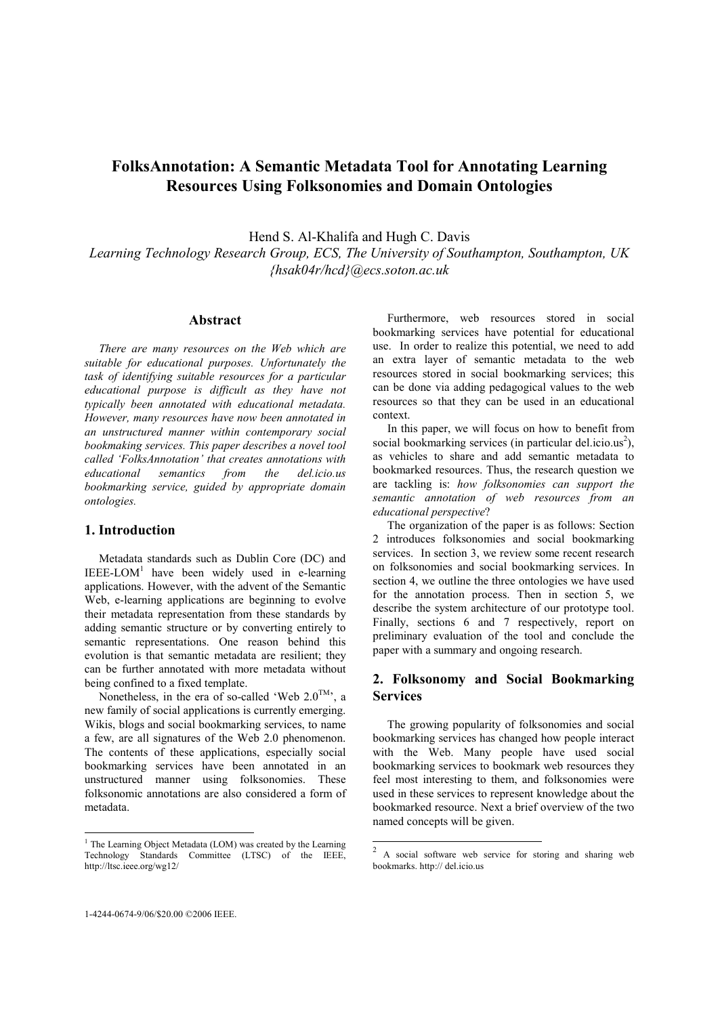# FolksAnnotation: A Semantic Metadata Tool for Annotating Learning Resources Using Folksonomies and Domain Ontologies

Hend S. Al-Khalifa and Hugh C. Davis Learning Technology Research Group, ECS, The University of Southampton, Southampton, UK {hsak04r/hcd}@ecs.soton.ac.uk

#### Abstract

There are many resources on the Web which are suitable for educational purposes. Unfortunately the task of identifying suitable resources for a particular educational purpose is difficult as they have not typically been annotated with educational metadata. However, many resources have now been annotated in an unstructured manner within contemporary social bookmaking services. This paper describes a novel tool called 'FolksAnnotation' that creates annotations with educational semantics from the del.icio.us bookmarking service, guided by appropriate domain ontologies.

### 1. Introduction

Metadata standards such as Dublin Core (DC) and  $IEEE-LOM<sup>1</sup>$  have been widely used in e-learning applications. However, with the advent of the Semantic Web, e-learning applications are beginning to evolve their metadata representation from these standards by adding semantic structure or by converting entirely to semantic representations. One reason behind this evolution is that semantic metadata are resilient; they can be further annotated with more metadata without being confined to a fixed template.

Nonetheless, in the era of so-called 'Web  $2.0^{TM}$ ', a new family of social applications is currently emerging. Wikis, blogs and social bookmarking services, to name a few, are all signatures of the Web 2.0 phenomenon. The contents of these applications, especially social bookmarking services have been annotated in an unstructured manner using folksonomies. These folksonomic annotations are also considered a form of metadata.

Furthermore, web resources stored in social bookmarking services have potential for educational use. In order to realize this potential, we need to add an extra layer of semantic metadata to the web resources stored in social bookmarking services; this can be done via adding pedagogical values to the web resources so that they can be used in an educational context.

In this paper, we will focus on how to benefit from social bookmarking services (in particular del.icio.us<sup>2</sup>), as vehicles to share and add semantic metadata to bookmarked resources. Thus, the research question we are tackling is: how folksonomies can support the semantic annotation of web resources from an educational perspective?

The organization of the paper is as follows: Section 2 introduces folksonomies and social bookmarking services. In section 3, we review some recent research on folksonomies and social bookmarking services. In section 4, we outline the three ontologies we have used for the annotation process. Then in section 5, we describe the system architecture of our prototype tool. Finally, sections 6 and 7 respectively, report on preliminary evaluation of the tool and conclude the paper with a summary and ongoing research.

# 2. Folksonomy and Social Bookmarking **Services**

The growing popularity of folksonomies and social bookmarking services has changed how people interact with the Web. Many people have used social bookmarking services to bookmark web resources they feel most interesting to them, and folksonomies were used in these services to represent knowledge about the bookmarked resource. Next a brief overview of the two named concepts will be given.

 1 The Learning Object Metadata (LOM) was created by the Learning Technology Standards Committee (LTSC) of the IEEE, http://ltsc.ieee.org/wg12/

<sup>&</sup>lt;sup>2</sup> A social software web service for storing and sharing web bookmarks. http:// del.icio.us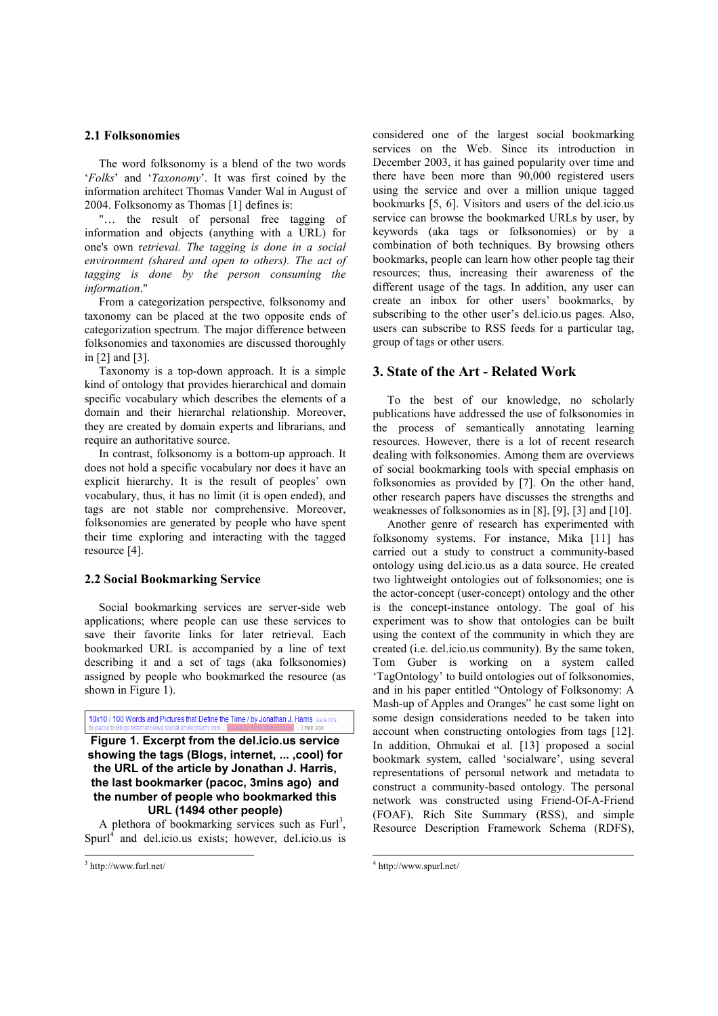#### 2.1 Folksonomies

The word folksonomy is a blend of the two words 'Folks' and 'Taxonomy'. It was first coined by the information architect Thomas Vander Wal in August of 2004. Folksonomy as Thomas [1] defines is:

"... the result of personal free tagging of information and objects (anything with a URL) for one's own retrieval. The tagging is done in a social environment (shared and open to others). The act of tagging is done by the person consuming the information."

From a categorization perspective, folksonomy and taxonomy can be placed at the two opposite ends of categorization spectrum. The major difference between folksonomies and taxonomies are discussed thoroughly in [2] and [3].

Taxonomy is a top-down approach. It is a simple kind of ontology that provides hierarchical and domain specific vocabulary which describes the elements of a domain and their hierarchal relationship. Moreover, they are created by domain experts and librarians, and require an authoritative source.

In contrast, folksonomy is a bottom-up approach. It does not hold a specific vocabulary nor does it have an explicit hierarchy. It is the result of peoples' own vocabulary, thus, it has no limit (it is open ended), and tags are not stable nor comprehensive. Moreover, folksonomies are generated by people who have spent their time exploring and interacting with the tagged resource [4].

#### 2.2 Social Bookmarking Service

Social bookmarking services are server-side web applications; where people can use these services to save their favorite links for later retrieval. Each bookmarked URL is accompanied by a line of text describing it and a set of tags (aka folksonomies) assigned by people who bookmarked the resource (as shown in Figure 1).

10x10 / 100 Words and Pictures that Define the Time / by Jonathan J. Harris save this

Figure 1. Excerpt from the del.icio.us service showing the tags (Blogs, internet, ... ,cool) for the URL of the article by Jonathan J. Harris, the last bookmarker (pacoc, 3mins ago) and the number of people who bookmarked this URL (1494 other people)

A plethora of bookmarking services such as  $Furl<sup>3</sup>$ , Spurl<sup>4</sup> and del.icio.us exists; however, del.icio.us is

-

considered one of the largest social bookmarking services on the Web. Since its introduction in December 2003, it has gained popularity over time and there have been more than 90,000 registered users using the service and over a million unique tagged bookmarks [5, 6]. Visitors and users of the del.icio.us service can browse the bookmarked URLs by user, by keywords (aka tags or folksonomies) or by a combination of both techniques. By browsing others bookmarks, people can learn how other people tag their resources; thus, increasing their awareness of the different usage of the tags. In addition, any user can create an inbox for other users' bookmarks, by subscribing to the other user's del.icio.us pages. Also, users can subscribe to RSS feeds for a particular tag, group of tags or other users.

#### 3. State of the Art - Related Work

To the best of our knowledge, no scholarly publications have addressed the use of folksonomies in the process of semantically annotating learning resources. However, there is a lot of recent research dealing with folksonomies. Among them are overviews of social bookmarking tools with special emphasis on folksonomies as provided by [7]. On the other hand, other research papers have discusses the strengths and weaknesses of folksonomies as in [8], [9], [3] and [10].

Another genre of research has experimented with folksonomy systems. For instance, Mika [11] has carried out a study to construct a community-based ontology using del.icio.us as a data source. He created two lightweight ontologies out of folksonomies; one is the actor-concept (user-concept) ontology and the other is the concept-instance ontology. The goal of his experiment was to show that ontologies can be built using the context of the community in which they are created (i.e. del.icio.us community). By the same token, Tom Guber is working on a system called 'TagOntology' to build ontologies out of folksonomies, and in his paper entitled "Ontology of Folksonomy: A Mash-up of Apples and Oranges" he cast some light on some design considerations needed to be taken into account when constructing ontologies from tags [12]. In addition, Ohmukai et al. [13] proposed a social bookmark system, called 'socialware', using several representations of personal network and metadata to construct a community-based ontology. The personal network was constructed using Friend-Of-A-Friend (FOAF), Rich Site Summary (RSS), and simple Resource Description Framework Schema (RDFS),

 $\overline{a}$ 

<sup>3</sup> http://www.furl.net/

<sup>4</sup> http://www.spurl.net/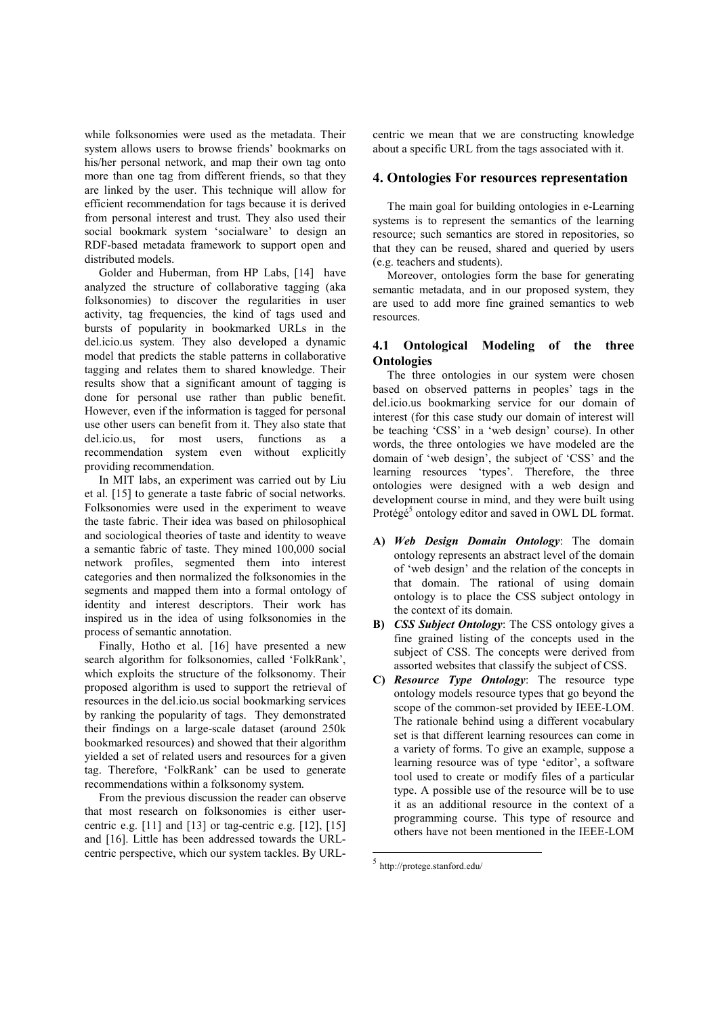while folksonomies were used as the metadata. Their system allows users to browse friends' bookmarks on his/her personal network, and map their own tag onto more than one tag from different friends, so that they are linked by the user. This technique will allow for efficient recommendation for tags because it is derived from personal interest and trust. They also used their social bookmark system 'socialware' to design an RDF-based metadata framework to support open and distributed models.

Golder and Huberman, from HP Labs, [14] have analyzed the structure of collaborative tagging (aka folksonomies) to discover the regularities in user activity, tag frequencies, the kind of tags used and bursts of popularity in bookmarked URLs in the del.icio.us system. They also developed a dynamic model that predicts the stable patterns in collaborative tagging and relates them to shared knowledge. Their results show that a significant amount of tagging is done for personal use rather than public benefit. However, even if the information is tagged for personal use other users can benefit from it. They also state that del.icio.us, for most users, functions as a recommendation system even without explicitly providing recommendation.

In MIT labs, an experiment was carried out by Liu et al. [15] to generate a taste fabric of social networks. Folksonomies were used in the experiment to weave the taste fabric. Their idea was based on philosophical and sociological theories of taste and identity to weave a semantic fabric of taste. They mined 100,000 social network profiles, segmented them into interest categories and then normalized the folksonomies in the segments and mapped them into a formal ontology of identity and interest descriptors. Their work has inspired us in the idea of using folksonomies in the process of semantic annotation.

Finally, Hotho et al. [16] have presented a new search algorithm for folksonomies, called 'FolkRank', which exploits the structure of the folksonomy. Their proposed algorithm is used to support the retrieval of resources in the del.icio.us social bookmarking services by ranking the popularity of tags. They demonstrated their findings on a large-scale dataset (around 250k bookmarked resources) and showed that their algorithm yielded a set of related users and resources for a given tag. Therefore, 'FolkRank' can be used to generate recommendations within a folksonomy system.

From the previous discussion the reader can observe that most research on folksonomies is either usercentric e.g.  $[11]$  and  $[13]$  or tag-centric e.g.  $[12]$ ,  $[15]$ and [16]. Little has been addressed towards the URLcentric perspective, which our system tackles. By URL- centric we mean that we are constructing knowledge about a specific URL from the tags associated with it.

#### 4. Ontologies For resources representation

The main goal for building ontologies in e-Learning systems is to represent the semantics of the learning resource; such semantics are stored in repositories, so that they can be reused, shared and queried by users (e.g. teachers and students).

Moreover, ontologies form the base for generating semantic metadata, and in our proposed system, they are used to add more fine grained semantics to web resources.

### 4.1 Ontological Modeling of the three **Ontologies**

The three ontologies in our system were chosen based on observed patterns in peoples' tags in the del.icio.us bookmarking service for our domain of interest (for this case study our domain of interest will be teaching 'CSS' in a 'web design' course). In other words, the three ontologies we have modeled are the domain of 'web design', the subject of 'CSS' and the learning resources 'types'. Therefore, the three ontologies were designed with a web design and development course in mind, and they were built using Protégé<sup>5</sup> ontology editor and saved in OWL DL format.

- A) Web Design Domain Ontology: The domain ontology represents an abstract level of the domain of 'web design' and the relation of the concepts in that domain. The rational of using domain ontology is to place the CSS subject ontology in the context of its domain.
- B) CSS Subject Ontology: The CSS ontology gives a fine grained listing of the concepts used in the subject of CSS. The concepts were derived from assorted websites that classify the subject of CSS.
- C) Resource Type Ontology: The resource type ontology models resource types that go beyond the scope of the common-set provided by IEEE-LOM. The rationale behind using a different vocabulary set is that different learning resources can come in a variety of forms. To give an example, suppose a learning resource was of type 'editor', a software tool used to create or modify files of a particular type. A possible use of the resource will be to use it as an additional resource in the context of a programming course. This type of resource and others have not been mentioned in the IEEE-LOM

 $\overline{a}$ 

<sup>5</sup> http://protege.stanford.edu/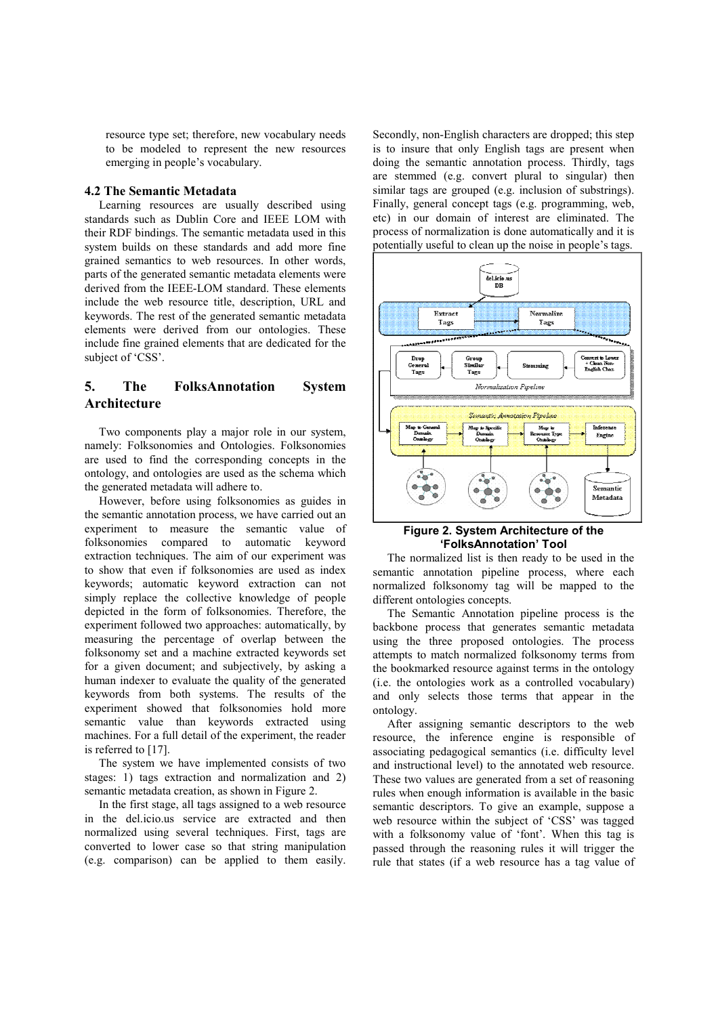resource type set; therefore, new vocabulary needs to be modeled to represent the new resources emerging in people's vocabulary.

#### 4.2 The Semantic Metadata

Learning resources are usually described using standards such as Dublin Core and IEEE LOM with their RDF bindings. The semantic metadata used in this system builds on these standards and add more fine grained semantics to web resources. In other words, parts of the generated semantic metadata elements were derived from the IEEE-LOM standard. These elements include the web resource title, description, URL and keywords. The rest of the generated semantic metadata elements were derived from our ontologies. These include fine grained elements that are dedicated for the subject of 'CSS'.

## 5. The FolksAnnotation System Architecture

Two components play a major role in our system, namely: Folksonomies and Ontologies. Folksonomies are used to find the corresponding concepts in the ontology, and ontologies are used as the schema which the generated metadata will adhere to.

However, before using folksonomies as guides in the semantic annotation process, we have carried out an experiment to measure the semantic value of folksonomies compared to automatic keyword extraction techniques. The aim of our experiment was to show that even if folksonomies are used as index keywords; automatic keyword extraction can not simply replace the collective knowledge of people depicted in the form of folksonomies. Therefore, the experiment followed two approaches: automatically, by measuring the percentage of overlap between the folksonomy set and a machine extracted keywords set for a given document; and subjectively, by asking a human indexer to evaluate the quality of the generated keywords from both systems. The results of the experiment showed that folksonomies hold more semantic value than keywords extracted using machines. For a full detail of the experiment, the reader is referred to [17].

The system we have implemented consists of two stages: 1) tags extraction and normalization and 2) semantic metadata creation, as shown in Figure 2.

In the first stage, all tags assigned to a web resource in the del.icio.us service are extracted and then normalized using several techniques. First, tags are converted to lower case so that string manipulation (e.g. comparison) can be applied to them easily.

Secondly, non-English characters are dropped; this step is to insure that only English tags are present when doing the semantic annotation process. Thirdly, tags are stemmed (e.g. convert plural to singular) then similar tags are grouped (e.g. inclusion of substrings). Finally, general concept tags (e.g. programming, web, etc) in our domain of interest are eliminated. The process of normalization is done automatically and it is potentially useful to clean up the noise in people's tags.



#### Figure 2. System Architecture of the 'FolksAnnotation' Tool

The normalized list is then ready to be used in the semantic annotation pipeline process, where each normalized folksonomy tag will be mapped to the different ontologies concepts.

The Semantic Annotation pipeline process is the backbone process that generates semantic metadata using the three proposed ontologies. The process attempts to match normalized folksonomy terms from the bookmarked resource against terms in the ontology (i.e. the ontologies work as a controlled vocabulary) and only selects those terms that appear in the ontology.

After assigning semantic descriptors to the web resource, the inference engine is responsible of associating pedagogical semantics (i.e. difficulty level and instructional level) to the annotated web resource. These two values are generated from a set of reasoning rules when enough information is available in the basic semantic descriptors. To give an example, suppose a web resource within the subject of 'CSS' was tagged with a folksonomy value of 'font'. When this tag is passed through the reasoning rules it will trigger the rule that states (if a web resource has a tag value of